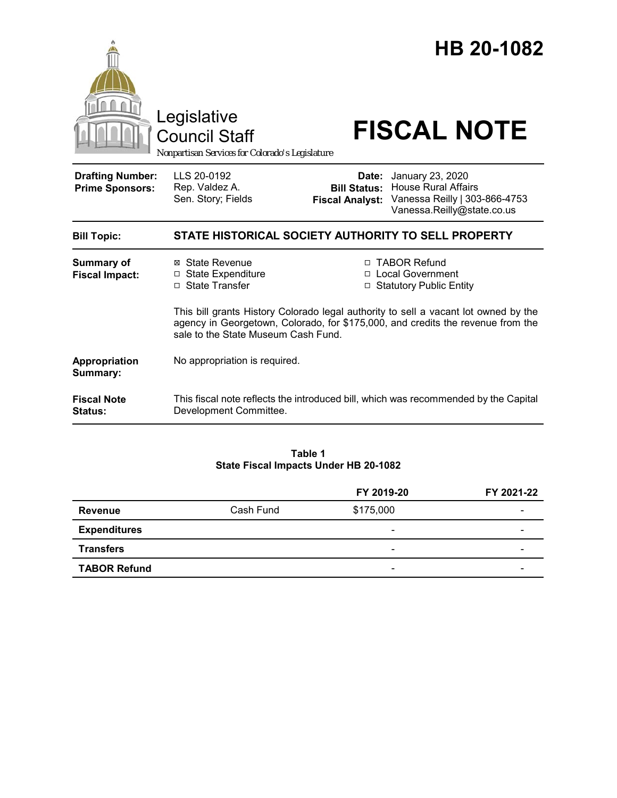

#### **Table 1 State Fiscal Impacts Under HB 20-1082**

|                     |           | FY 2019-20               | FY 2021-22 |
|---------------------|-----------|--------------------------|------------|
| Revenue             | Cash Fund | \$175,000                |            |
| <b>Expenditures</b> |           | $\overline{\phantom{a}}$ | -          |
| <b>Transfers</b>    |           | $\overline{\phantom{0}}$ |            |
| <b>TABOR Refund</b> |           | $\overline{\phantom{0}}$ |            |